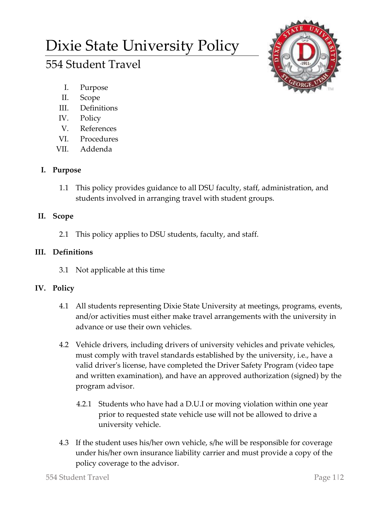# Dixie State University Policy

# 554 Student Travel



- I. Purpose
- II. Scope
- III. Definitions
- IV. Policy
- V. References
- VI. Procedures
- VII. Addenda

# **I. Purpose**

1.1 This policy provides guidance to all DSU faculty, staff, administration, and students involved in arranging travel with student groups.

# **II. Scope**

2.1 This policy applies to DSU students, faculty, and staff.

### **III. Definitions**

3.1 Not applicable at this time

### **IV. Policy**

- 4.1 All students representing Dixie State University at meetings, programs, events, and/or activities must either make travel arrangements with the university in advance or use their own vehicles.
- 4.2 Vehicle drivers, including drivers of university vehicles and private vehicles, must comply with travel standards established by the university, i.e., have a valid driver's license, have completed the Driver Safety Program (video tape and written examination), and have an approved authorization (signed) by the program advisor.
	- 4.2.1 Students who have had a D.U.I or moving violation within one year prior to requested state vehicle use will not be allowed to drive a university vehicle.
- 4.3 If the student uses his/her own vehicle, s/he will be responsible for coverage under his/her own insurance liability carrier and must provide a copy of the policy coverage to the advisor.